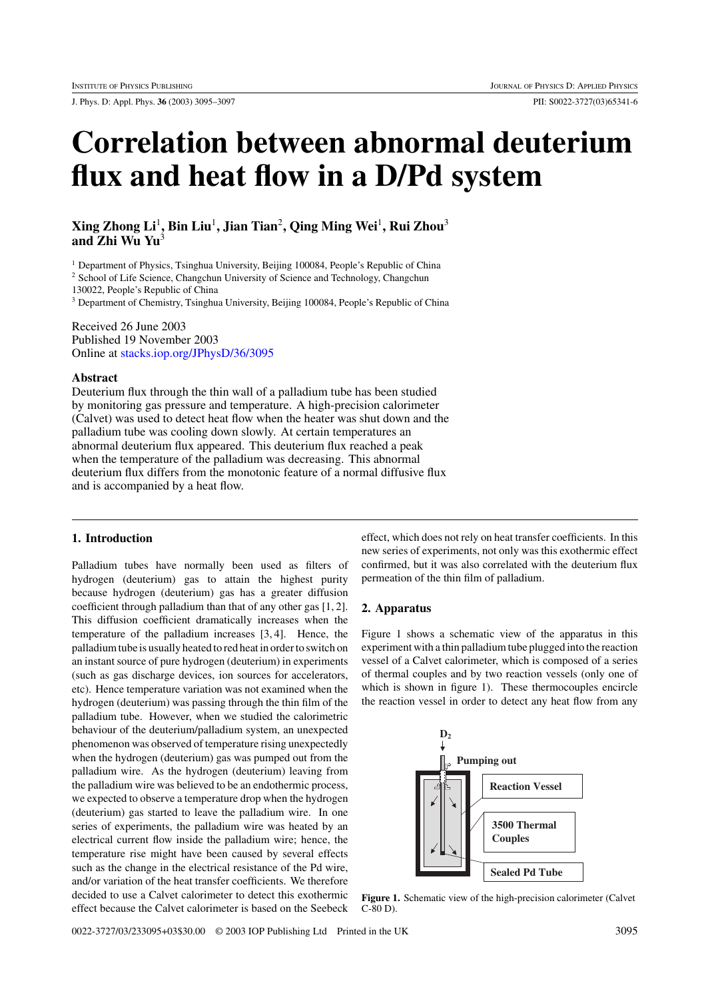J. Phys. D: Appl. Phys. **36** (2003) 3095–3097 PII: S0022-3727(03)65341-6

# **Correlation between abnormal deuterium flux and heat flow in a D/Pd system**

**Xing Zhong Li**<sup>1</sup>**, Bin Liu**<sup>1</sup>**, Jian Tian**<sup>2</sup>**, Qing Ming Wei**<sup>1</sup>**, Rui Zhou**<sup>3</sup> **and Zhi Wu Yu**<sup>3</sup>

<sup>1</sup> Department of Physics, Tsinghua University, Beijing 100084, People's Republic of China

<sup>2</sup> School of Life Science, Changchun University of Science and Technology, Changchun

130022, People's Republic of China

<sup>3</sup> Department of Chemistry, Tsinghua University, Beijing 100084, People's Republic of China

Received 26 June 2003 Published 19 November 2003 Online at [stacks.iop.org/JPhysD/36/3095](http://stacks.iop.org/jd/36/3095)

# **Abstract**

Deuterium flux through the thin wall of a palladium tube has been studied by monitoring gas pressure and temperature. A high-precision calorimeter (Calvet) was used to detect heat flow when the heater was shut down and the palladium tube was cooling down slowly. At certain temperatures an abnormal deuterium flux appeared. This deuterium flux reached a peak when the temperature of the palladium was decreasing. This abnormal deuterium flux differs from the monotonic feature of a normal diffusive flux and is accompanied by a heat flow.

### **1. Introduction**

Palladium tubes have normally been used as filters of hydrogen (deuterium) gas to attain the highest purity because hydrogen (deuterium) gas has a greater diffusion coefficient through palladium than that of any other gas [1, 2]. This diffusion coefficient dramatically increases when the temperature of the palladium increases [3, 4]. Hence, the palladium tube is usually heated to red heat in order to switch on an instant source of pure hydrogen (deuterium) in experiments (such as gas discharge devices, ion sources for accelerators, etc). Hence temperature variation was not examined when the hydrogen (deuterium) was passing through the thin film of the palladium tube. However, when we studied the calorimetric behaviour of the deuterium/palladium system, an unexpected phenomenon was observed of temperature rising unexpectedly when the hydrogen (deuterium) gas was pumped out from the palladium wire. As the hydrogen (deuterium) leaving from the palladium wire was believed to be an endothermic process, we expected to observe a temperature drop when the hydrogen (deuterium) gas started to leave the palladium wire. In one series of experiments, the palladium wire was heated by an electrical current flow inside the palladium wire; hence, the temperature rise might have been caused by several effects such as the change in the electrical resistance of the Pd wire, and/or variation of the heat transfer coefficients. We therefore decided to use a Calvet calorimeter to detect this exothermic effect because the Calvet calorimeter is based on the Seebeck effect, which does not rely on heat transfer coefficients. In this new series of experiments, not only was this exothermic effect confirmed, but it was also correlated with the deuterium flux permeation of the thin film of palladium.

#### **2. Apparatus**

Figure 1 shows a schematic view of the apparatus in this experiment with a thin palladium tube plugged into the reaction vessel of a Calvet calorimeter, which is composed of a series of thermal couples and by two reaction vessels (only one of which is shown in figure 1). These thermocouples encircle the reaction vessel in order to detect any heat flow from any



**Figure 1.** Schematic view of the high-precision calorimeter (Calvet C-80 D).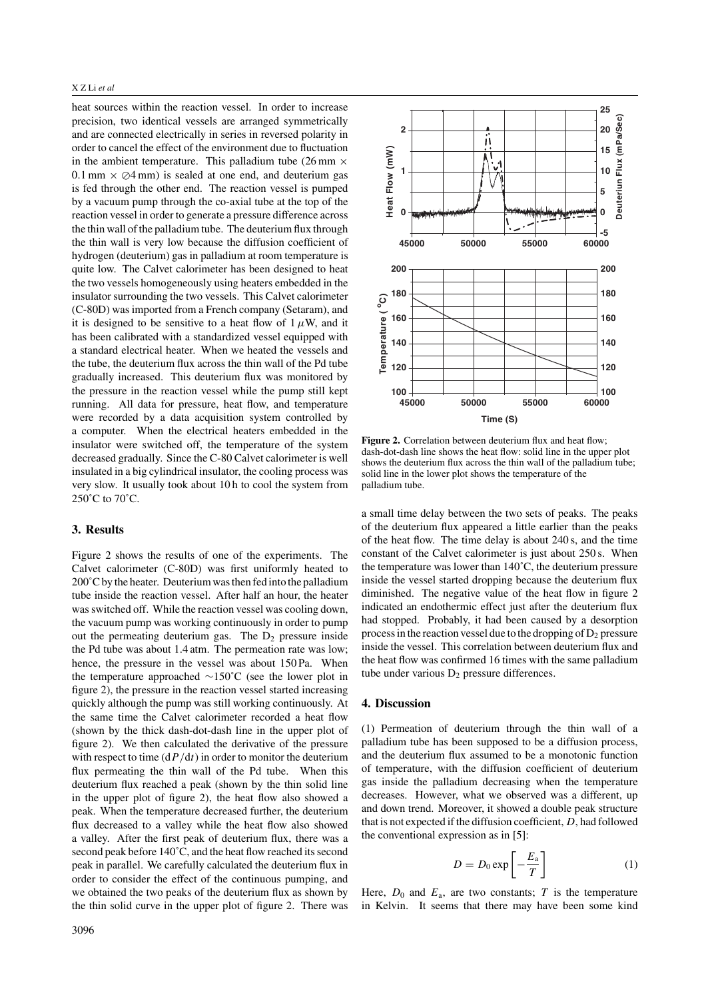#### X Z Li *et al*

heat sources within the reaction vessel. In order to increase precision, two identical vessels are arranged symmetrically and are connected electrically in series in reversed polarity in order to cancel the effect of the environment due to fluctuation in the ambient temperature. This palladium tube  $(26 \text{ mm} \times$  $0.1$  mm  $\times$   $\oslash$ 4 mm) is sealed at one end, and deuterium gas is fed through the other end. The reaction vessel is pumped by a vacuum pump through the co-axial tube at the top of the reaction vessel in order to generate a pressure difference across the thin wall of the palladium tube. The deuterium flux through the thin wall is very low because the diffusion coefficient of hydrogen (deuterium) gas in palladium at room temperature is quite low. The Calvet calorimeter has been designed to heat the two vessels homogeneously using heaters embedded in the insulator surrounding the two vessels. This Calvet calorimeter (C-80D) was imported from a French company (Setaram), and it is designed to be sensitive to a heat flow of  $1 \mu W$ , and it has been calibrated with a standardized vessel equipped with a standard electrical heater. When we heated the vessels and the tube, the deuterium flux across the thin wall of the Pd tube gradually increased. This deuterium flux was monitored by the pressure in the reaction vessel while the pump still kept running. All data for pressure, heat flow, and temperature were recorded by a data acquisition system controlled by a computer. When the electrical heaters embedded in the insulator were switched off, the temperature of the system decreased gradually. Since the C-80 Calvet calorimeter is well insulated in a big cylindrical insulator, the cooling process was very slow. It usually took about 10 h to cool the system from 250˚C to 70˚C.

# **3. Results**

Figure 2 shows the results of one of the experiments. The Calvet calorimeter (C-80D) was first uniformly heated to 200˚C by the heater. Deuterium was then fed into the palladium tube inside the reaction vessel. After half an hour, the heater was switched off. While the reaction vessel was cooling down, the vacuum pump was working continuously in order to pump out the permeating deuterium gas. The  $D_2$  pressure inside the Pd tube was about 1.4 atm. The permeation rate was low; hence, the pressure in the vessel was about 150 Pa. When the temperature approached ∼150˚C (see the lower plot in figure 2), the pressure in the reaction vessel started increasing quickly although the pump was still working continuously. At the same time the Calvet calorimeter recorded a heat flow (shown by the thick dash-dot-dash line in the upper plot of figure 2). We then calculated the derivative of the pressure with respect to time  $\frac{dP}{dt}$  in order to monitor the deuterium flux permeating the thin wall of the Pd tube. When this deuterium flux reached a peak (shown by the thin solid line in the upper plot of figure 2), the heat flow also showed a peak. When the temperature decreased further, the deuterium flux decreased to a valley while the heat flow also showed a valley. After the first peak of deuterium flux, there was a second peak before 140˚C, and the heat flow reached its second peak in parallel. We carefully calculated the deuterium flux in order to consider the effect of the continuous pumping, and we obtained the two peaks of the deuterium flux as shown by the thin solid curve in the upper plot of figure 2. There was



**Figure 2.** Correlation between deuterium flux and heat flow: dash-dot-dash line shows the heat flow: solid line in the upper plot shows the deuterium flux across the thin wall of the palladium tube; solid line in the lower plot shows the temperature of the palladium tube.

a small time delay between the two sets of peaks. The peaks of the deuterium flux appeared a little earlier than the peaks of the heat flow. The time delay is about 240 s, and the time constant of the Calvet calorimeter is just about 250 s. When the temperature was lower than 140˚C, the deuterium pressure inside the vessel started dropping because the deuterium flux diminished. The negative value of the heat flow in figure 2 indicated an endothermic effect just after the deuterium flux had stopped. Probably, it had been caused by a desorption process in the reaction vessel due to the dropping of  $D_2$  pressure inside the vessel. This correlation between deuterium flux and the heat flow was confirmed 16 times with the same palladium tube under various  $D_2$  pressure differences.

#### **4. Discussion**

(1) Permeation of deuterium through the thin wall of a palladium tube has been supposed to be a diffusion process, and the deuterium flux assumed to be a monotonic function of temperature, with the diffusion coefficient of deuterium gas inside the palladium decreasing when the temperature decreases. However, what we observed was a different, up and down trend. Moreover, it showed a double peak structure that is not expected if the diffusion coefficient, D, had followed the conventional expression as in [5]:

$$
D = D_0 \exp\left[-\frac{E_a}{T}\right] \tag{1}
$$

Here,  $D_0$  and  $E_a$ , are two constants; T is the temperature in Kelvin. It seems that there may have been some kind